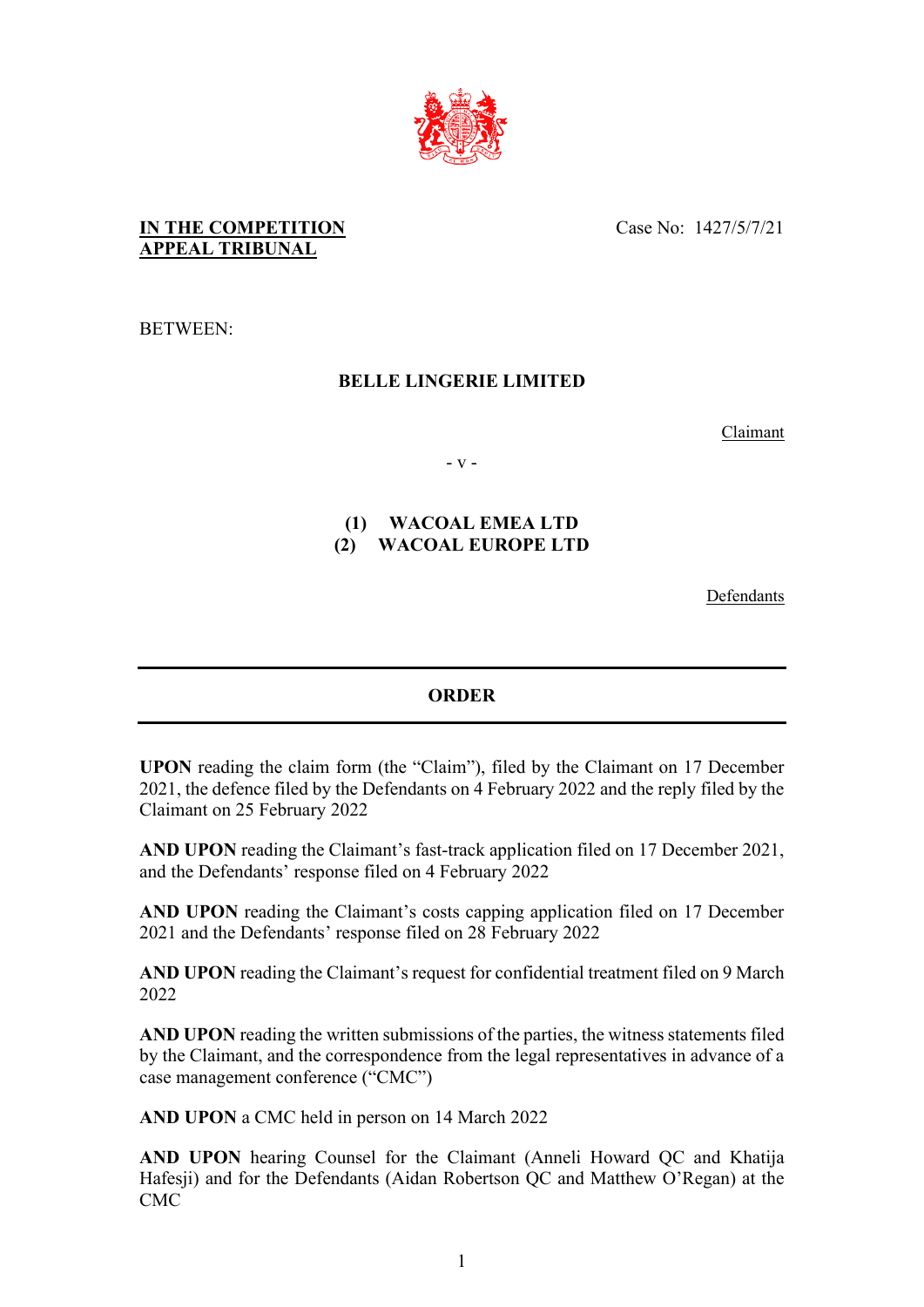

### **IN THE COMPETITION APPEAL TRIBUNAL**

Case No: 1427/5/7/21

BETWEEN:

## **BELLE LINGERIE LIMITED**

Claimant

- v -

## **(1) WACOAL EMEA LTD (2) WACOAL EUROPE LTD**

Defendants

### **ORDER**

**UPON** reading the claim form (the "Claim"), filed by the Claimant on 17 December 2021, the defence filed by the Defendants on 4 February 2022 and the reply filed by the Claimant on 25 February 2022

**AND UPON** reading the Claimant's fast-track application filed on 17 December 2021, and the Defendants' response filed on 4 February 2022

**AND UPON** reading the Claimant's costs capping application filed on 17 December 2021 and the Defendants' response filed on 28 February 2022

**AND UPON** reading the Claimant's request for confidential treatment filed on 9 March 2022

**AND UPON** reading the written submissions of the parties, the witness statements filed by the Claimant, and the correspondence from the legal representatives in advance of a case management conference ("CMC")

**AND UPON** a CMC held in person on 14 March 2022

**AND UPON** hearing Counsel for the Claimant (Anneli Howard QC and Khatija Hafesji) and for the Defendants (Aidan Robertson QC and Matthew O'Regan) at the CMC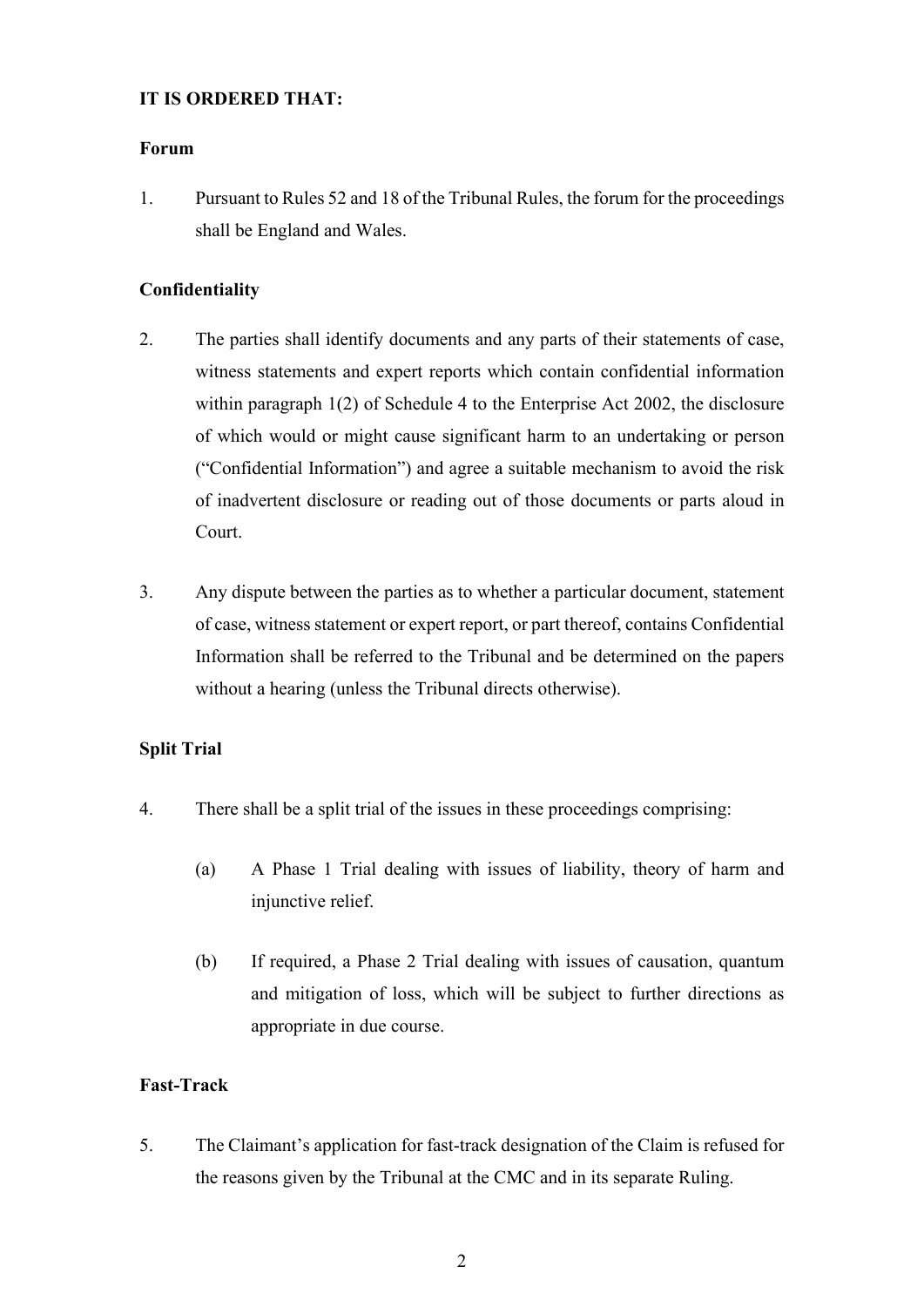### **IT IS ORDERED THAT:**

### **Forum**

1. Pursuant to Rules 52 and 18 of the Tribunal Rules, the forum for the proceedings shall be England and Wales.

### **Confidentiality**

- 2. The parties shall identify documents and any parts of their statements of case, witness statements and expert reports which contain confidential information within paragraph 1(2) of Schedule 4 to the Enterprise Act 2002, the disclosure of which would or might cause significant harm to an undertaking or person ("Confidential Information") and agree a suitable mechanism to avoid the risk of inadvertent disclosure or reading out of those documents or parts aloud in Court.
- 3. Any dispute between the parties as to whether a particular document, statement of case, witness statement or expert report, or part thereof, contains Confidential Information shall be referred to the Tribunal and be determined on the papers without a hearing (unless the Tribunal directs otherwise).

### **Split Trial**

- 4. There shall be a split trial of the issues in these proceedings comprising:
	- (a) A Phase 1 Trial dealing with issues of liability, theory of harm and injunctive relief.
	- (b) If required, a Phase 2 Trial dealing with issues of causation, quantum and mitigation of loss, which will be subject to further directions as appropriate in due course.

### **Fast-Track**

5. The Claimant's application for fast-track designation of the Claim is refused for the reasons given by the Tribunal at the CMC and in its separate Ruling.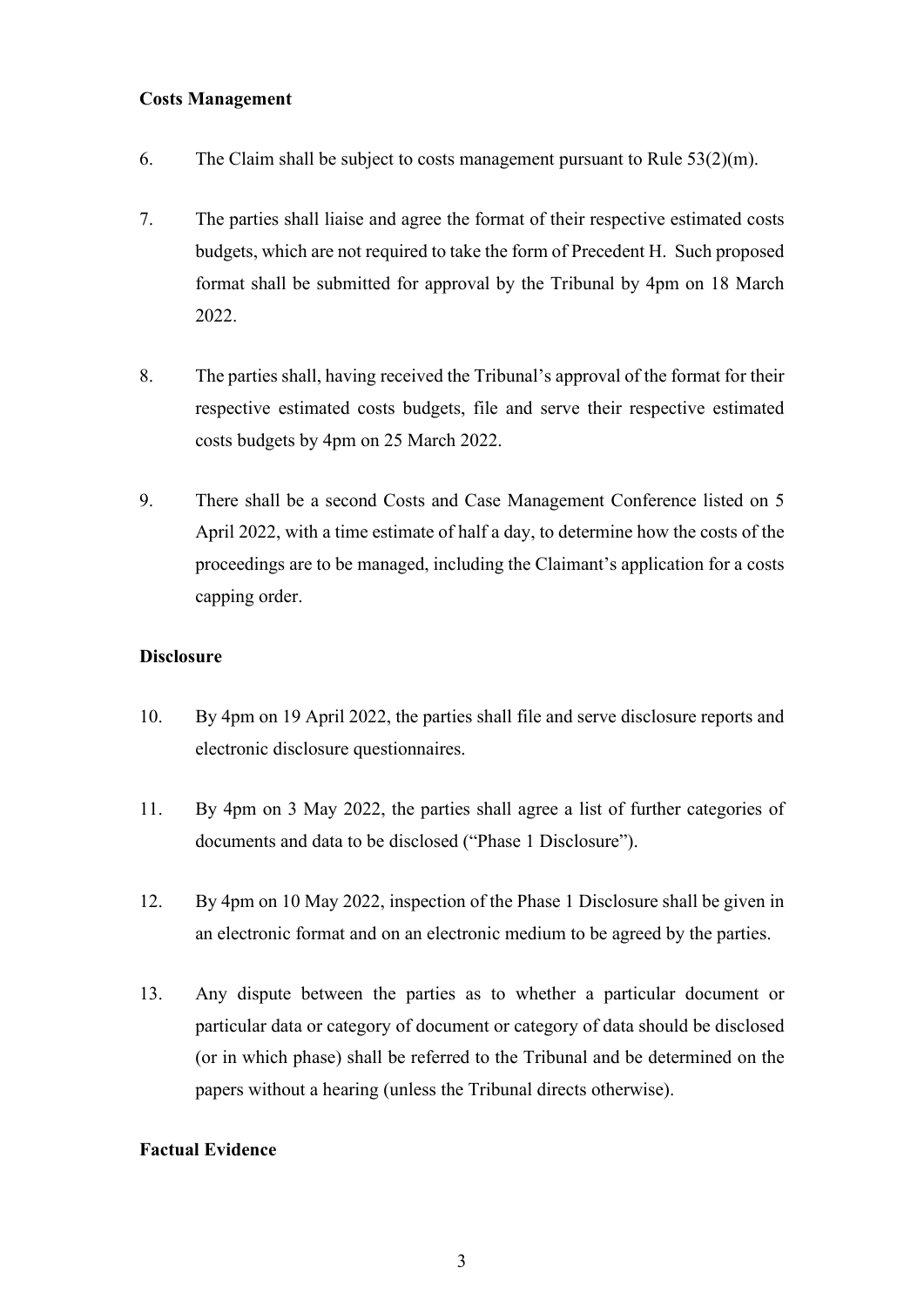### **Costs Management**

- 6. The Claim shall be subject to costs management pursuant to Rule  $53(2)(m)$ .
- 7. The parties shall liaise and agree the format of their respective estimated costs budgets, which are not required to take the form of Precedent H. Such proposed format shall be submitted for approval by the Tribunal by 4pm on 18 March 2022.
- 8. The parties shall, having received the Tribunal's approval of the format for their respective estimated costs budgets, file and serve their respective estimated costs budgets by 4pm on 25 March 2022.
- 9. There shall be a second Costs and Case Management Conference listed on 5 April 2022, with a time estimate of half a day, to determine how the costs of the proceedings are to be managed, including the Claimant's application for a costs capping order.

### **Disclosure**

- 10. By 4pm on 19 April 2022, the parties shall file and serve disclosure reports and electronic disclosure questionnaires.
- 11. By 4pm on 3 May 2022, the parties shall agree a list of further categories of documents and data to be disclosed ("Phase 1 Disclosure").
- 12. By 4pm on 10 May 2022, inspection of the Phase 1 Disclosure shall be given in an electronic format and on an electronic medium to be agreed by the parties.
- 13. Any dispute between the parties as to whether a particular document or particular data or category of document or category of data should be disclosed (or in which phase) shall be referred to the Tribunal and be determined on the papers without a hearing (unless the Tribunal directs otherwise).

#### **Factual Evidence**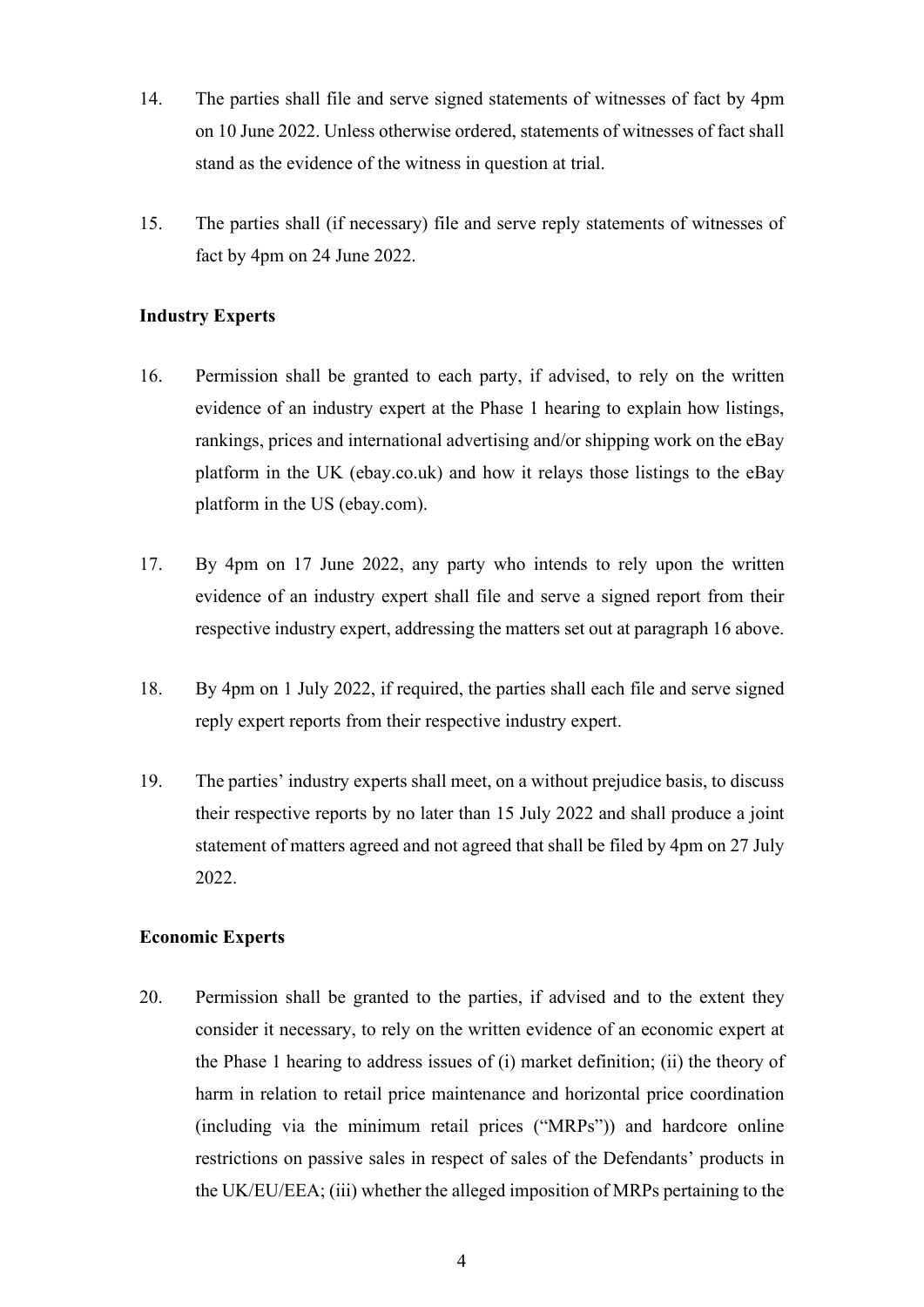- 14. The parties shall file and serve signed statements of witnesses of fact by 4pm on 10 June 2022. Unless otherwise ordered, statements of witnesses of fact shall stand as the evidence of the witness in question at trial.
- 15. The parties shall (if necessary) file and serve reply statements of witnesses of fact by 4pm on 24 June 2022.

### **Industry Experts**

- 16. Permission shall be granted to each party, if advised, to rely on the written evidence of an industry expert at the Phase 1 hearing to explain how listings, rankings, prices and international advertising and/or shipping work on the eBay platform in the UK (ebay.co.uk) and how it relays those listings to the eBay platform in the US (ebay.com).
- 17. By 4pm on 17 June 2022, any party who intends to rely upon the written evidence of an industry expert shall file and serve a signed report from their respective industry expert, addressing the matters set out at paragraph 16 above.
- 18. By 4pm on 1 July 2022, if required, the parties shall each file and serve signed reply expert reports from their respective industry expert.
- 19. The parties' industry experts shall meet, on a without prejudice basis, to discuss their respective reports by no later than 15 July 2022 and shall produce a joint statement of matters agreed and not agreed that shall be filed by 4pm on 27 July 2022.

### **Economic Experts**

20. Permission shall be granted to the parties, if advised and to the extent they consider it necessary, to rely on the written evidence of an economic expert at the Phase 1 hearing to address issues of (i) market definition; (ii) the theory of harm in relation to retail price maintenance and horizontal price coordination (including via the minimum retail prices ("MRPs")) and hardcore online restrictions on passive sales in respect of sales of the Defendants' products in the UK/EU/EEA; (iii) whether the alleged imposition of MRPs pertaining to the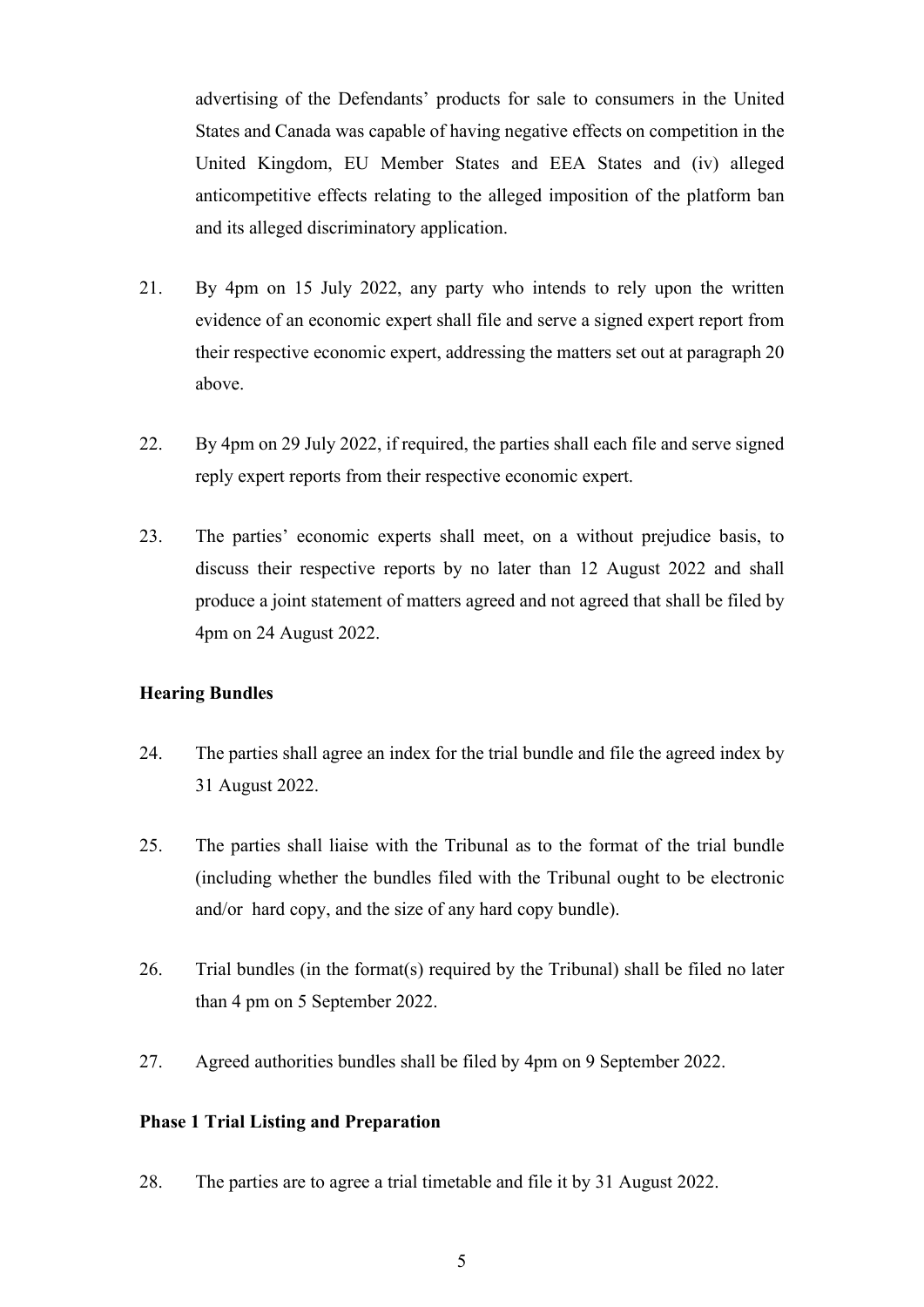advertising of the Defendants' products for sale to consumers in the United States and Canada was capable of having negative effects on competition in the United Kingdom, EU Member States and EEA States and (iv) alleged anticompetitive effects relating to the alleged imposition of the platform ban and its alleged discriminatory application.

- 21. By 4pm on 15 July 2022, any party who intends to rely upon the written evidence of an economic expert shall file and serve a signed expert report from their respective economic expert, addressing the matters set out at paragraph 20 above.
- 22. By 4pm on 29 July 2022, if required, the parties shall each file and serve signed reply expert reports from their respective economic expert.
- 23. The parties' economic experts shall meet, on a without prejudice basis, to discuss their respective reports by no later than 12 August 2022 and shall produce a joint statement of matters agreed and not agreed that shall be filed by 4pm on 24 August 2022.

### **Hearing Bundles**

- 24. The parties shall agree an index for the trial bundle and file the agreed index by 31 August 2022.
- 25. The parties shall liaise with the Tribunal as to the format of the trial bundle (including whether the bundles filed with the Tribunal ought to be electronic and/or hard copy, and the size of any hard copy bundle).
- 26. Trial bundles (in the format(s) required by the Tribunal) shall be filed no later than 4 pm on 5 September 2022.
- 27. Agreed authorities bundles shall be filed by 4pm on 9 September 2022.

#### **Phase 1 Trial Listing and Preparation**

28. The parties are to agree a trial timetable and file it by 31 August 2022.